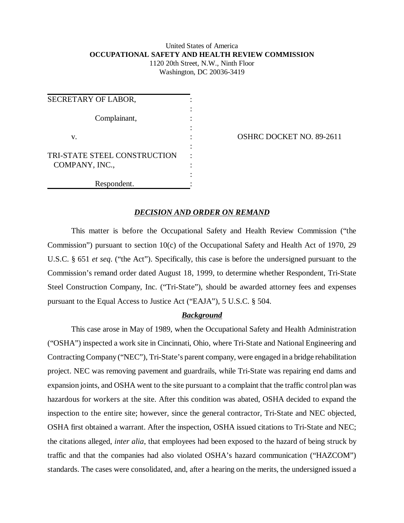### United States of America **OCCUPATIONAL SAFETY AND HEALTH REVIEW COMMISSION** 1120 20th Street, N.W., Ninth Floor

Washington, DC 20036-3419

| SECRETARY OF LABOR,          |  |
|------------------------------|--|
|                              |  |
| Complainant,                 |  |
| v.                           |  |
|                              |  |
| TRI-STATE STEEL CONSTRUCTION |  |
| COMPANY, INC.,               |  |
|                              |  |
| Respondent.                  |  |

OSHRC DOCKET NO. 89-2611

# *DECISION AND ORDER ON REMAND*

This matter is before the Occupational Safety and Health Review Commission ("the Commission") pursuant to section 10(c) of the Occupational Safety and Health Act of 1970, 29 U.S.C. § 651 *et seq*. ("the Act"). Specifically, this case is before the undersigned pursuant to the Commission's remand order dated August 18, 1999, to determine whether Respondent, Tri-State Steel Construction Company, Inc. ("Tri-State"), should be awarded attorney fees and expenses pursuant to the Equal Access to Justice Act ("EAJA"), 5 U.S.C. § 504.

#### *Background*

This case arose in May of 1989, when the Occupational Safety and Health Administration ("OSHA") inspected a work site in Cincinnati, Ohio, where Tri-State and National Engineering and Contracting Company ("NEC"), Tri-State's parent company, were engaged in a bridge rehabilitation project. NEC was removing pavement and guardrails, while Tri-State was repairing end dams and expansion joints, and OSHA went to the site pursuant to a complaint that the traffic control plan was hazardous for workers at the site. After this condition was abated, OSHA decided to expand the inspection to the entire site; however, since the general contractor, Tri-State and NEC objected, OSHA first obtained a warrant. After the inspection, OSHA issued citations to Tri-State and NEC; the citations alleged, *inter alia*, that employees had been exposed to the hazard of being struck by traffic and that the companies had also violated OSHA's hazard communication ("HAZCOM") standards. The cases were consolidated, and, after a hearing on the merits, the undersigned issued a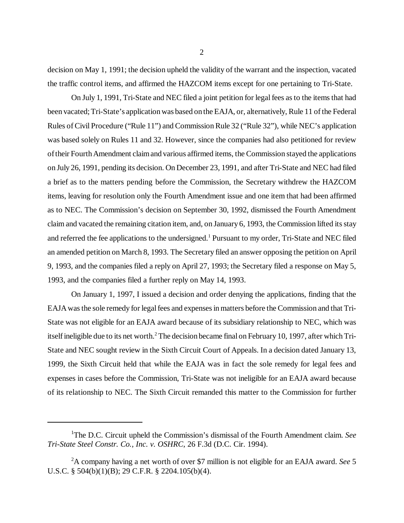decision on May 1, 1991; the decision upheld the validity of the warrant and the inspection, vacated the traffic control items, and affirmed the HAZCOM items except for one pertaining to Tri-State.

On July 1, 1991, Tri-State and NEC filed a joint petition for legal fees as to the items that had been vacated; Tri-State's application was based on the EAJA, or, alternatively, Rule 11 of the Federal Rules of Civil Procedure ("Rule 11") and Commission Rule 32 ("Rule 32"), while NEC's application was based solely on Rules 11 and 32. However, since the companies had also petitioned for review of their Fourth Amendment claim and various affirmed items, the Commission stayed the applications on July 26, 1991, pending its decision. On December 23, 1991, and after Tri-State and NEC had filed a brief as to the matters pending before the Commission, the Secretary withdrew the HAZCOM items, leaving for resolution only the Fourth Amendment issue and one item that had been affirmed as to NEC. The Commission's decision on September 30, 1992, dismissed the Fourth Amendment claim and vacated the remaining citation item, and, on January 6, 1993, the Commission lifted its stay and referred the fee applications to the undersigned.<sup>1</sup> Pursuant to my order, Tri-State and NEC filed an amended petition on March 8, 1993. The Secretary filed an answer opposing the petition on April 9, 1993, and the companies filed a reply on April 27, 1993; the Secretary filed a response on May 5, 1993, and the companies filed a further reply on May 14, 1993.

On January 1, 1997, I issued a decision and order denying the applications, finding that the EAJA was the sole remedy for legal fees and expenses in matters before the Commission and that Tri-State was not eligible for an EAJA award because of its subsidiary relationship to NEC, which was itself ineligible due to its net worth.<sup>2</sup> The decision became final on February 10, 1997, after which Tri-State and NEC sought review in the Sixth Circuit Court of Appeals. In a decision dated January 13, 1999, the Sixth Circuit held that while the EAJA was in fact the sole remedy for legal fees and expenses in cases before the Commission, Tri-State was not ineligible for an EAJA award because of its relationship to NEC. The Sixth Circuit remanded this matter to the Commission for further

<sup>&</sup>lt;sup>1</sup>The D.C. Circuit upheld the Commission's dismissal of the Fourth Amendment claim. See *Tri-State Steel Constr. Co., Inc. v. OSHRC*, 26 F.3d (D.C. Cir. 1994).

<sup>2</sup> A company having a net worth of over \$7 million is not eligible for an EAJA award. *See* 5 U.S.C. § 504(b)(1)(B); 29 C.F.R. § 2204.105(b)(4).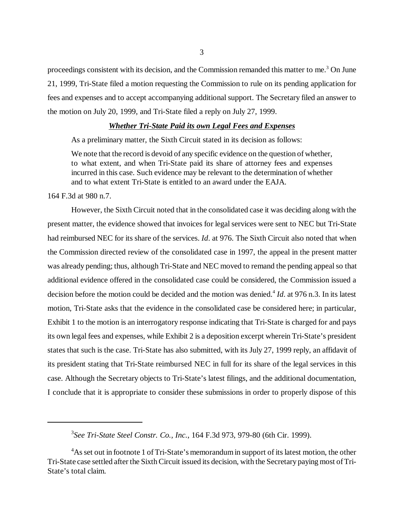proceedings consistent with its decision, and the Commission remanded this matter to me.<sup>3</sup> On June 21, 1999, Tri-State filed a motion requesting the Commission to rule on its pending application for fees and expenses and to accept accompanying additional support. The Secretary filed an answer to the motion on July 20, 1999, and Tri-State filed a reply on July 27, 1999.

### *Whether Tri-State Paid its own Legal Fees and Expenses*

As a preliminary matter, the Sixth Circuit stated in its decision as follows:

We note that the record is devoid of any specific evidence on the question of whether, to what extent, and when Tri-State paid its share of attorney fees and expenses incurred in this case. Such evidence may be relevant to the determination of whether and to what extent Tri-State is entitled to an award under the EAJA.

164 F.3d at 980 n.7.

However, the Sixth Circuit noted that in the consolidated case it was deciding along with the present matter, the evidence showed that invoices for legal services were sent to NEC but Tri-State had reimbursed NEC for its share of the services. *Id*. at 976. The Sixth Circuit also noted that when the Commission directed review of the consolidated case in 1997, the appeal in the present matter was already pending; thus, although Tri-State and NEC moved to remand the pending appeal so that additional evidence offered in the consolidated case could be considered, the Commission issued a decision before the motion could be decided and the motion was denied.<sup>4</sup> *Id*. at 976 n.3. In its latest motion, Tri-State asks that the evidence in the consolidated case be considered here; in particular, Exhibit 1 to the motion is an interrogatory response indicating that Tri-State is charged for and pays its own legal fees and expenses, while Exhibit 2 is a deposition excerpt wherein Tri-State's president states that such is the case. Tri-State has also submitted, with its July 27, 1999 reply, an affidavit of its president stating that Tri-State reimbursed NEC in full for its share of the legal services in this case. Although the Secretary objects to Tri-State's latest filings, and the additional documentation, I conclude that it is appropriate to consider these submissions in order to properly dispose of this

<sup>3</sup> *See Tri-State Steel Constr. Co., Inc.*, 164 F.3d 973, 979-80 (6th Cir. 1999).

<sup>&</sup>lt;sup>4</sup>As set out in footnote 1 of Tri-State's memorandum in support of its latest motion, the other Tri-State case settled after the Sixth Circuit issued its decision, with the Secretary paying most of Tri-State's total claim.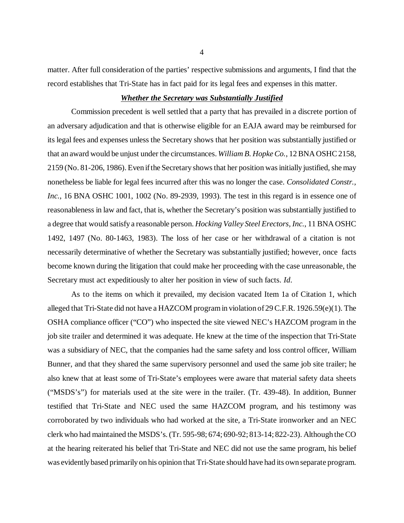matter. After full consideration of the parties' respective submissions and arguments, I find that the record establishes that Tri-State has in fact paid for its legal fees and expenses in this matter.

# *Whether the Secretary was Substantially Justified*

Commission precedent is well settled that a party that has prevailed in a discrete portion of an adversary adjudication and that is otherwise eligible for an EAJA award may be reimbursed for its legal fees and expenses unless the Secretary shows that her position was substantially justified or that an award would be unjust under the circumstances. *William B. Hopke Co.*, 12 BNA OSHC 2158, 2159 (No. 81-206, 1986). Even if the Secretary shows that her position was initially justified, she may nonetheless be liable for legal fees incurred after this was no longer the case. *Consolidated Constr., Inc.*, 16 BNA OSHC 1001, 1002 (No. 89-2939, 1993). The test in this regard is in essence one of reasonableness in law and fact, that is, whether the Secretary's position was substantially justified to a degree that would satisfy a reasonable person. *Hocking Valley Steel Erectors, Inc.*, 11 BNA OSHC 1492, 1497 (No. 80-1463, 1983). The loss of her case or her withdrawal of a citation is not necessarily determinative of whether the Secretary was substantially justified; however, once facts become known during the litigation that could make her proceeding with the case unreasonable, the Secretary must act expeditiously to alter her position in view of such facts. *Id*.

As to the items on which it prevailed, my decision vacated Item 1a of Citation 1, which alleged that Tri-State did not have a HAZCOM program in violation of 29 C.F.R. 1926.59(e)(1). The OSHA compliance officer ("CO") who inspected the site viewed NEC's HAZCOM program in the job site trailer and determined it was adequate. He knew at the time of the inspection that Tri-State was a subsidiary of NEC, that the companies had the same safety and loss control officer, William Bunner, and that they shared the same supervisory personnel and used the same job site trailer; he also knew that at least some of Tri-State's employees were aware that material safety data sheets ("MSDS's") for materials used at the site were in the trailer. (Tr. 439-48). In addition, Bunner testified that Tri-State and NEC used the same HAZCOM program, and his testimony was corroborated by two individuals who had worked at the site, a Tri-State ironworker and an NEC clerk who had maintained the MSDS's. (Tr. 595-98; 674; 690-92; 813-14; 822-23). Although the CO at the hearing reiterated his belief that Tri-State and NEC did not use the same program, his belief was evidently based primarily on his opinion that Tri-State should have had its own separate program.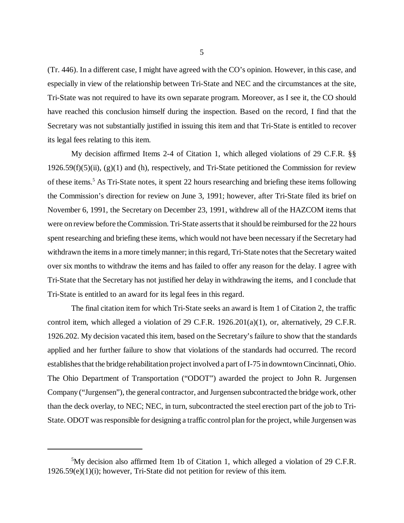(Tr. 446). In a different case, I might have agreed with the CO's opinion. However, in this case, and especially in view of the relationship between Tri-State and NEC and the circumstances at the site, Tri-State was not required to have its own separate program. Moreover, as I see it, the CO should have reached this conclusion himself during the inspection. Based on the record, I find that the Secretary was not substantially justified in issuing this item and that Tri-State is entitled to recover its legal fees relating to this item.

My decision affirmed Items 2-4 of Citation 1, which alleged violations of 29 C.F.R. §§  $1926.59(f)(5)(ii)$ ,  $(g)(1)$  and (h), respectively, and Tri-State petitioned the Commission for review of these items.<sup>5</sup> As Tri-State notes, it spent 22 hours researching and briefing these items following the Commission's direction for review on June 3, 1991; however, after Tri-State filed its brief on November 6, 1991, the Secretary on December 23, 1991, withdrew all of the HAZCOM items that were on review before the Commission. Tri-State asserts that it should be reimbursed for the 22 hours spent researching and briefing these items, which would not have been necessary if the Secretary had withdrawn the items in a more timely manner; in this regard, Tri-State notes that the Secretary waited over six months to withdraw the items and has failed to offer any reason for the delay. I agree with Tri-State that the Secretary has not justified her delay in withdrawing the items, and I conclude that Tri-State is entitled to an award for its legal fees in this regard.

The final citation item for which Tri-State seeks an award is Item 1 of Citation 2, the traffic control item, which alleged a violation of 29 C.F.R. 1926.201(a)(1), or, alternatively, 29 C.F.R. 1926.202. My decision vacated this item, based on the Secretary's failure to show that the standards applied and her further failure to show that violations of the standards had occurred. The record establishes that the bridge rehabilitation project involved a part of I-75 in downtown Cincinnati, Ohio. The Ohio Department of Transportation ("ODOT") awarded the project to John R. Jurgensen Company ("Jurgensen"), the general contractor, and Jurgensen subcontracted the bridge work, other than the deck overlay, to NEC; NEC, in turn, subcontracted the steel erection part of the job to Tri-State. ODOT was responsible for designing a traffic control plan for the project, while Jurgensen was

<sup>&</sup>lt;sup>5</sup>My decision also affirmed Item 1b of Citation 1, which alleged a violation of 29 C.F.R. 1926.59(e)(1)(i); however, Tri-State did not petition for review of this item.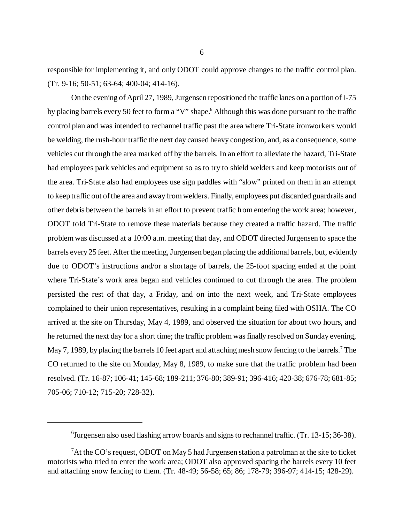responsible for implementing it, and only ODOT could approve changes to the traffic control plan. (Tr. 9-16; 50-51; 63-64; 400-04; 414-16).

On the evening of April 27, 1989, Jurgensen repositioned the traffic lanes on a portion of I-75 by placing barrels every 50 feet to form a "V" shape.<sup>6</sup> Although this was done pursuant to the traffic control plan and was intended to rechannel traffic past the area where Tri-State ironworkers would be welding, the rush-hour traffic the next day caused heavy congestion, and, as a consequence, some vehicles cut through the area marked off by the barrels. In an effort to alleviate the hazard, Tri-State had employees park vehicles and equipment so as to try to shield welders and keep motorists out of the area. Tri-State also had employees use sign paddles with "slow" printed on them in an attempt to keep traffic out of the area and away from welders. Finally, employees put discarded guardrails and other debris between the barrels in an effort to prevent traffic from entering the work area; however, ODOT told Tri-State to remove these materials because they created a traffic hazard. The traffic problem was discussed at a 10:00 a.m. meeting that day, and ODOT directed Jurgensen to space the barrels every 25 feet. After the meeting, Jurgensen began placing the additional barrels, but, evidently due to ODOT's instructions and/or a shortage of barrels, the 25-foot spacing ended at the point where Tri-State's work area began and vehicles continued to cut through the area. The problem persisted the rest of that day, a Friday, and on into the next week, and Tri-State employees complained to their union representatives, resulting in a complaint being filed with OSHA. The CO arrived at the site on Thursday, May 4, 1989, and observed the situation for about two hours, and he returned the next day for a short time; the traffic problem was finally resolved on Sunday evening, May 7, 1989, by placing the barrels 10 feet apart and attaching mesh snow fencing to the barrels.<sup>7</sup> The CO returned to the site on Monday, May 8, 1989, to make sure that the traffic problem had been resolved. (Tr. 16-87; 106-41; 145-68; 189-211; 376-80; 389-91; 396-416; 420-38; 676-78; 681-85; 705-06; 710-12; 715-20; 728-32).

<sup>&</sup>lt;sup>6</sup>Jurgensen also used flashing arrow boards and signs to rechannel traffic. (Tr. 13-15; 36-38).

 $^7$ At the CO's request, ODOT on May 5 had Jurgensen station a patrolman at the site to ticket motorists who tried to enter the work area; ODOT also approved spacing the barrels every 10 feet and attaching snow fencing to them. (Tr. 48-49; 56-58; 65; 86; 178-79; 396-97; 414-15; 428-29).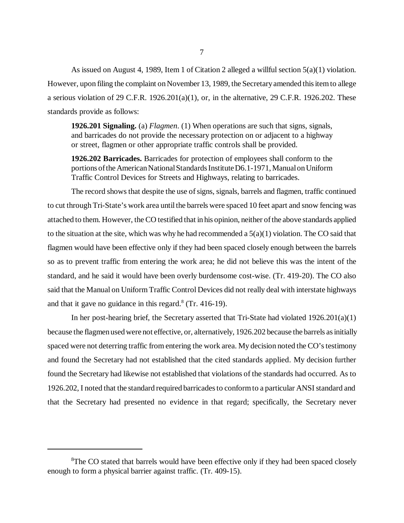As issued on August 4, 1989, Item 1 of Citation 2 alleged a willful section 5(a)(1) violation. However, upon filing the complaint on November 13, 1989, the Secretary amended this item to allege a serious violation of 29 C.F.R. 1926.201(a)(1), or, in the alternative, 29 C.F.R. 1926.202. These standards provide as follows:

**1926.201 Signaling.** (a) *Flagmen*. (1) When operations are such that signs, signals, and barricades do not provide the necessary protection on or adjacent to a highway or street, flagmen or other appropriate traffic controls shall be provided.

**1926.202 Barricades.** Barricades for protection of employees shall conform to the portions of the American National Standards Institute D6.1-1971, Manual on Uniform Traffic Control Devices for Streets and Highways, relating to barricades.

The record shows that despite the use of signs, signals, barrels and flagmen, traffic continued to cut through Tri-State's work area until the barrels were spaced 10 feet apart and snow fencing was attached to them. However, the CO testified that in his opinion, neither of the above standards applied to the situation at the site, which was why he had recommended a  $5(a)(1)$  violation. The CO said that flagmen would have been effective only if they had been spaced closely enough between the barrels so as to prevent traffic from entering the work area; he did not believe this was the intent of the standard, and he said it would have been overly burdensome cost-wise. (Tr. 419-20). The CO also said that the Manual on Uniform Traffic Control Devices did not really deal with interstate highways and that it gave no guidance in this regard. $8$  (Tr. 416-19).

In her post-hearing brief, the Secretary asserted that Tri-State had violated 1926.201(a)(1) because the flagmen used were not effective, or, alternatively, 1926.202 because the barrels as initially spaced were not deterring traffic from entering the work area. My decision noted the CO's testimony and found the Secretary had not established that the cited standards applied. My decision further found the Secretary had likewise not established that violations of the standards had occurred. As to 1926.202, I noted that the standard required barricades to conform to a particular ANSI standard and that the Secretary had presented no evidence in that regard; specifically, the Secretary never

<sup>&</sup>lt;sup>8</sup>The CO stated that barrels would have been effective only if they had been spaced closely enough to form a physical barrier against traffic. (Tr. 409-15).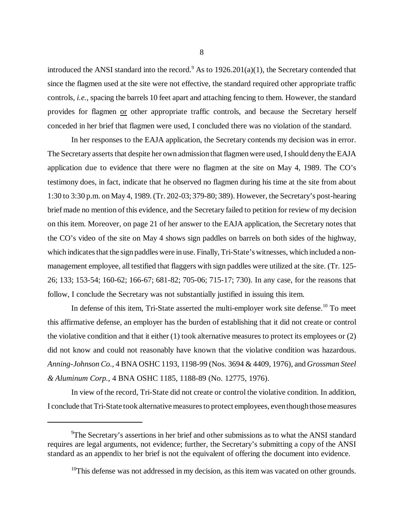introduced the ANSI standard into the record.<sup>9</sup> As to  $1926.201(a)(1)$ , the Secretary contended that since the flagmen used at the site were not effective, the standard required other appropriate traffic controls, *i.e.*, spacing the barrels 10 feet apart and attaching fencing to them. However, the standard provides for flagmen or other appropriate traffic controls, and because the Secretary herself conceded in her brief that flagmen were used, I concluded there was no violation of the standard.

In her responses to the EAJA application, the Secretary contends my decision was in error. The Secretary asserts that despite her own admission that flagmen were used, I should deny the EAJA application due to evidence that there were no flagmen at the site on May 4, 1989. The CO's testimony does, in fact, indicate that he observed no flagmen during his time at the site from about 1:30 to 3:30 p.m. on May 4, 1989. (Tr. 202-03; 379-80; 389). However, the Secretary's post-hearing brief made no mention of this evidence, and the Secretary failed to petition for review of my decision on this item. Moreover, on page 21 of her answer to the EAJA application, the Secretary notes that the CO's video of the site on May 4 shows sign paddles on barrels on both sides of the highway, which indicates that the sign paddles were in use. Finally, Tri-State's witnesses, which included a nonmanagement employee, all testified that flaggers with sign paddles were utilized at the site. (Tr. 125- 26; 133; 153-54; 160-62; 166-67; 681-82; 705-06; 715-17; 730). In any case, for the reasons that follow, I conclude the Secretary was not substantially justified in issuing this item.

In defense of this item, Tri-State asserted the multi-employer work site defense.<sup>10</sup> To meet this affirmative defense, an employer has the burden of establishing that it did not create or control the violative condition and that it either (1) took alternative measures to protect its employees or (2) did not know and could not reasonably have known that the violative condition was hazardous. *Anning-Johnson Co.*, 4 BNA OSHC 1193, 1198-99 (Nos. 3694 & 4409, 1976), and *Grossman Steel & Aluminum Corp.*, 4 BNA OSHC 1185, 1188-89 (No. 12775, 1976).

In view of the record, Tri-State did not create or control the violative condition. In addition, I conclude that Tri-State took alternative measures to protect employees, even though those measures

<sup>&</sup>lt;sup>9</sup>The Secretary's assertions in her brief and other submissions as to what the ANSI standard requires are legal arguments, not evidence; further, the Secretary's submitting a copy of the ANSI standard as an appendix to her brief is not the equivalent of offering the document into evidence.

 $10$ This defense was not addressed in my decision, as this item was vacated on other grounds.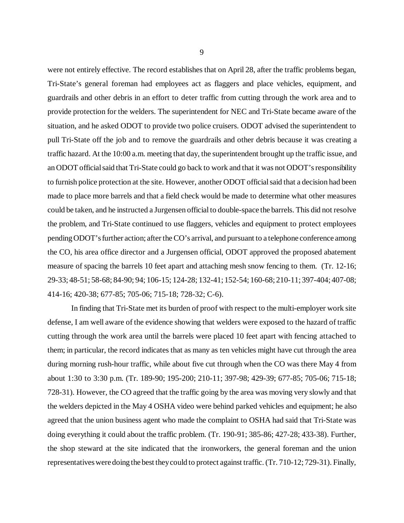were not entirely effective. The record establishes that on April 28, after the traffic problems began, Tri-State's general foreman had employees act as flaggers and place vehicles, equipment, and guardrails and other debris in an effort to deter traffic from cutting through the work area and to provide protection for the welders. The superintendent for NEC and Tri-State became aware of the situation, and he asked ODOT to provide two police cruisers. ODOT advised the superintendent to pull Tri-State off the job and to remove the guardrails and other debris because it was creating a traffic hazard. At the 10:00 a.m. meeting that day, the superintendent brought up the traffic issue, and an ODOT official said that Tri-State could go back to work and that it was not ODOT's responsibility to furnish police protection at the site. However, another ODOT official said that a decision had been made to place more barrels and that a field check would be made to determine what other measures could be taken, and he instructed a Jurgensen official to double-space the barrels. This did not resolve the problem, and Tri-State continued to use flaggers, vehicles and equipment to protect employees pending ODOT's further action; after the CO's arrival, and pursuant to a telephone conference among the CO, his area office director and a Jurgensen official, ODOT approved the proposed abatement measure of spacing the barrels 10 feet apart and attaching mesh snow fencing to them. (Tr. 12-16; 29-33; 48-51; 58-68; 84-90; 94; 106-15; 124-28; 132-41; 152-54; 160-68; 210-11; 397-404; 407-08; 414-16; 420-38; 677-85; 705-06; 715-18; 728-32; C-6).

In finding that Tri-State met its burden of proof with respect to the multi-employer work site defense, I am well aware of the evidence showing that welders were exposed to the hazard of traffic cutting through the work area until the barrels were placed 10 feet apart with fencing attached to them; in particular, the record indicates that as many as ten vehicles might have cut through the area during morning rush-hour traffic, while about five cut through when the CO was there May 4 from about 1:30 to 3:30 p.m. (Tr. 189-90; 195-200; 210-11; 397-98; 429-39; 677-85; 705-06; 715-18; 728-31). However, the CO agreed that the traffic going by the area was moving very slowly and that the welders depicted in the May 4 OSHA video were behind parked vehicles and equipment; he also agreed that the union business agent who made the complaint to OSHA had said that Tri-State was doing everything it could about the traffic problem. (Tr. 190-91; 385-86; 427-28; 433-38). Further, the shop steward at the site indicated that the ironworkers, the general foreman and the union representatives were doing the best they could to protect against traffic. (Tr. 710-12; 729-31). Finally,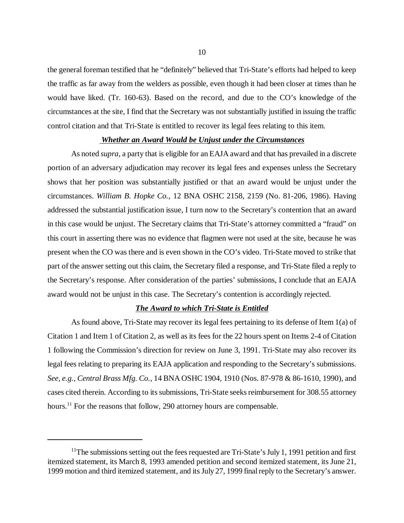the general foreman testified that he "definitely" believed that Tri-State's efforts had helped to keep the traffic as far away from the welders as possible, even though it had been closer at times than he would have liked. (Tr. 160-63). Based on the record, and due to the CO's knowledge of the circumstances at the site, I find that the Secretary was not substantially justified in issuing the traffic control citation and that Tri-State is entitled to recover its legal fees relating to this item.

#### *Whether an Award Would be Unjust under the Circumstances*

As noted *supra*, a party that is eligible for an EAJA award and that has prevailed in a discrete portion of an adversary adjudication may recover its legal fees and expenses unless the Secretary shows that her position was substantially justified or that an award would be unjust under the circumstances. *William B. Hopke Co.*, 12 BNA OSHC 2158, 2159 (No. 81-206, 1986). Having addressed the substantial justification issue, I turn now to the Secretary's contention that an award in this case would be unjust. The Secretary claims that Tri-State's attorney committed a "fraud" on this court in asserting there was no evidence that flagmen were not used at the site, because he was present when the CO was there and is even shown in the CO's video. Tri-State moved to strike that part of the answer setting out this claim, the Secretary filed a response, and Tri-State filed a reply to the Secretary's response. After consideration of the parties' submissions, I conclude that an EAJA award would not be unjust in this case. The Secretary's contention is accordingly rejected.

# *The Award to which Tri-State is Entitled*

As found above, Tri-State may recover its legal fees pertaining to its defense of Item 1(a) of Citation 1 and Item 1 of Citation 2, as well as its fees for the 22 hours spent on Items 2-4 of Citation 1 following the Commission's direction for review on June 3, 1991. Tri-State may also recover its legal fees relating to preparing its EAJA application and responding to the Secretary's submissions. *See, e.g., Central Brass Mfg. Co.*, 14 BNA OSHC 1904, 1910 (Nos. 87-978 & 86-1610, 1990), and cases cited therein. According to its submissions, Tri-State seeks reimbursement for 308.55 attorney hours.<sup>11</sup> For the reasons that follow, 290 attorney hours are compensable.

<sup>&</sup>lt;sup>11</sup>The submissions setting out the fees requested are Tri-State's July 1, 1991 petition and first itemized statement, its March 8, 1993 amended petition and second itemized statement, its June 21, 1999 motion and third itemized statement, and its July 27, 1999 final reply to the Secretary's answer.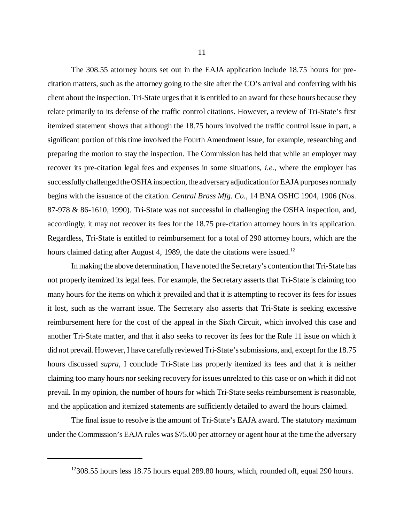The 308.55 attorney hours set out in the EAJA application include 18.75 hours for precitation matters, such as the attorney going to the site after the CO's arrival and conferring with his client about the inspection. Tri-State urges that it is entitled to an award for these hours because they relate primarily to its defense of the traffic control citations. However, a review of Tri-State's first itemized statement shows that although the 18.75 hours involved the traffic control issue in part, a significant portion of this time involved the Fourth Amendment issue, for example, researching and preparing the motion to stay the inspection. The Commission has held that while an employer may recover its pre-citation legal fees and expenses in some situations, *i.e.*, where the employer has successfully challenged the OSHA inspection, the adversary adjudication for EAJA purposes normally begins with the issuance of the citation. *Central Brass Mfg. Co.*, 14 BNA OSHC 1904, 1906 (Nos. 87-978 & 86-1610, 1990). Tri-State was not successful in challenging the OSHA inspection, and, accordingly, it may not recover its fees for the 18.75 pre-citation attorney hours in its application. Regardless, Tri-State is entitled to reimbursement for a total of 290 attorney hours, which are the hours claimed dating after August 4, 1989, the date the citations were issued.<sup>12</sup>

In making the above determination, I have noted the Secretary's contention that Tri-State has not properly itemized its legal fees. For example, the Secretary asserts that Tri-State is claiming too many hours for the items on which it prevailed and that it is attempting to recover its fees for issues it lost, such as the warrant issue. The Secretary also asserts that Tri-State is seeking excessive reimbursement here for the cost of the appeal in the Sixth Circuit, which involved this case and another Tri-State matter, and that it also seeks to recover its fees for the Rule 11 issue on which it did not prevail. However, I have carefully reviewed Tri-State's submissions, and, except for the 18.75 hours discussed *supra*, I conclude Tri-State has properly itemized its fees and that it is neither claiming too many hours nor seeking recovery for issues unrelated to this case or on which it did not prevail. In my opinion, the number of hours for which Tri-State seeks reimbursement is reasonable, and the application and itemized statements are sufficiently detailed to award the hours claimed.

The final issue to resolve is the amount of Tri-State's EAJA award. The statutory maximum under the Commission's EAJA rules was \$75.00 per attorney or agent hour at the time the adversary

 $12308.55$  hours less 18.75 hours equal 289.80 hours, which, rounded off, equal 290 hours.